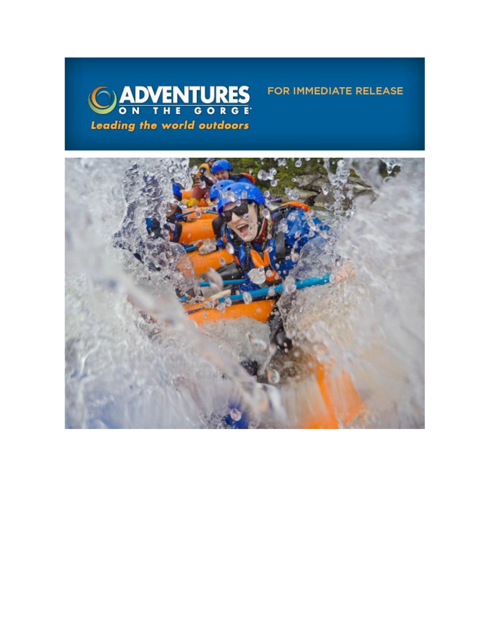



FOR IMMEDIATE RELEASE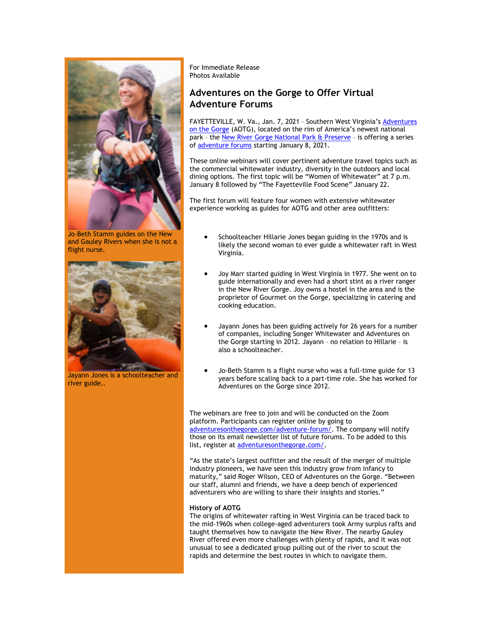

Jo-Beth Stamm guides on the New and Gauley Rivers when she is not a flight nurse.



Jayann Jones is a schoolteacher and river guide..

For Immediate Release Photos Available

## **Adventures on the Gorge to Offer Virtual Adventure Forums**

FAYETTEVILLE, W. Va., Jan. 7, 2021 - Southern West Virginia's Adventures [on the Gorge](https://click.icptrack.com/icp/relay.php?r=13440961&msgid=470343&act=3SPQ&c=1378153&destination=http%3A%2F%2Fwww.adventuresonthegorge.com%2F&cf=13608&v=5a6d29c5bd89500c6946838c97b8849561ebbd48dbb2fdae9fe0068cb3f8e60e) (AOTG), located on the rim of America's newest national park – the [New River Gorge National Park & Preserve](https://click.icptrack.com/icp/relay.php?r=13440961&msgid=470343&act=3SPQ&c=1378153&destination=https%3A%2F%2Fwww.nps.gov%2Fneri%2Findex.htm&cf=13608&v=7a55c2f9fbd36050fd920611b4f9f5233236fe343627cd8afd59cdc1b46b572d) – is offering a series of [adventure forums](https://click.icptrack.com/icp/relay.php?r=13440961&msgid=470343&act=3SPQ&c=1378153&destination=https%3A%2F%2Fadventuresonthegorge.com%2Fadventure-forum%2F&cf=13608&v=11e4c433b390a38e11cd09db5648a427b3ae2391b903b30595c76a808536f11f) starting January 8, 2021.

These online webinars will cover pertinent adventure travel topics such as the commercial whitewater industry, diversity in the outdoors and local dining options. The first topic will be "Women of Whitewater" at 7 p.m. January 8 followed by "The Fayetteville Food Scene" January 22.

The first forum will feature four women with extensive whitewater experience working as guides for AOTG and other area outfitters:

- Schoolteacher Hillarie Jones began guiding in the 1970s and is likely the second woman to ever guide a whitewater raft in West Virginia.
- Joy Marr started guiding in West Virginia in 1977. She went on to guide internationally and even had a short stint as a river ranger in the New River Gorge. Joy owns a hostel in the area and is the proprietor of Gourmet on the Gorge, specializing in catering and cooking education.
- Jayann Jones has been guiding actively for 26 years for a number of companies, including Songer Whitewater and Adventures on the Gorge starting in 2012. Jayann – no relation to Hillarie – is also a schoolteacher.
- Jo-Beth Stamm is a flight nurse who was a full-time guide for 13 years before scaling back to a part-time role. She has worked for Adventures on the Gorge since 2012.

The webinars are free to join and will be conducted on the Zoom platform. Participants can register online by going to [adventuresonthegorge.com/adventure-forum/.](https://click.icptrack.com/icp/relay.php?r=13440961&msgid=470343&act=3SPQ&c=1378153&destination=https%3A%2F%2Fadventuresonthegorge.com%2Fadventure-forum%2F&cf=13608&v=11e4c433b390a38e11cd09db5648a427b3ae2391b903b30595c76a808536f11f) The company will notify those on its email newsletter list of future forums. To be added to this list, register at [adventuresonthegorge.com/.](https://click.icptrack.com/icp/relay.php?r=13440961&msgid=470343&act=3SPQ&c=1378153&destination=https%3A%2F%2Fadventuresonthegorge.com%2F&cf=13608&v=a83cd0882452dd5ad1794082623f8c176d7586c5f6015a054a1c7b875f219550)

"As the state's largest outfitter and the result of the merger of multiple industry pioneers, we have seen this industry grow from infancy to maturity," said Roger Wilson, CEO of Adventures on the Gorge. "Between our staff, alumni and friends, we have a deep bench of experienced adventurers who are willing to share their insights and stories."

## **History of AOTG**

The origins of whitewater rafting in West Virginia can be traced back to the mid-1960s when college-aged adventurers took Army surplus rafts and taught themselves how to navigate the New River. The nearby Gauley River offered even more challenges with plenty of rapids, and it was not unusual to see a dedicated group pulling out of the river to scout the rapids and determine the best routes in which to navigate them.